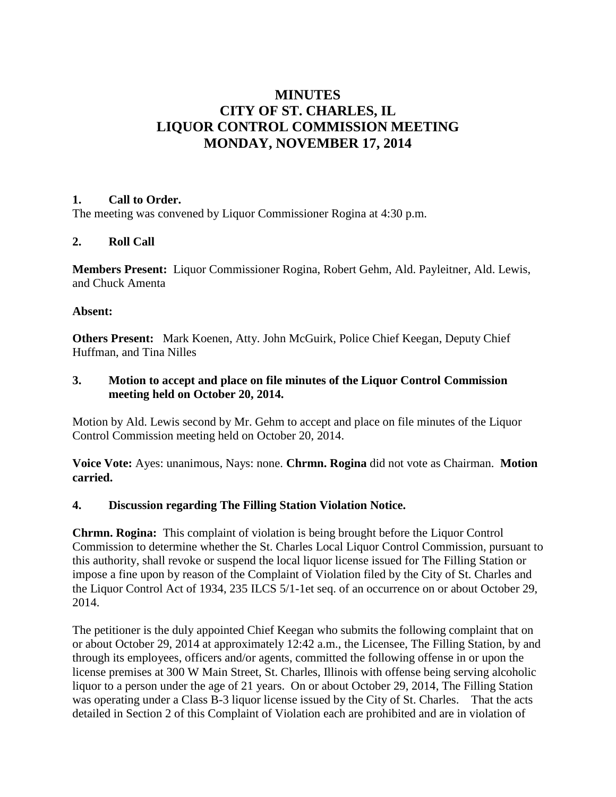## **MINUTES CITY OF ST. CHARLES, IL LIQUOR CONTROL COMMISSION MEETING MONDAY, NOVEMBER 17, 2014**

#### **1. Call to Order.**

The meeting was convened by Liquor Commissioner Rogina at 4:30 p.m.

#### **2. Roll Call**

**Members Present:** Liquor Commissioner Rogina, Robert Gehm, Ald. Payleitner, Ald. Lewis, and Chuck Amenta

#### **Absent:**

**Others Present:** Mark Koenen, Atty. John McGuirk, Police Chief Keegan, Deputy Chief Huffman, and Tina Nilles

#### **3. Motion to accept and place on file minutes of the Liquor Control Commission meeting held on October 20, 2014.**

Motion by Ald. Lewis second by Mr. Gehm to accept and place on file minutes of the Liquor Control Commission meeting held on October 20, 2014.

**Voice Vote:** Ayes: unanimous, Nays: none. **Chrmn. Rogina** did not vote as Chairman. **Motion carried.**

#### **4. Discussion regarding The Filling Station Violation Notice.**

**Chrmn. Rogina:** This complaint of violation is being brought before the Liquor Control Commission to determine whether the St. Charles Local Liquor Control Commission, pursuant to this authority, shall revoke or suspend the local liquor license issued for The Filling Station or impose a fine upon by reason of the Complaint of Violation filed by the City of St. Charles and the Liquor Control Act of 1934, 235 ILCS 5/1-1et seq. of an occurrence on or about October 29, 2014.

The petitioner is the duly appointed Chief Keegan who submits the following complaint that on or about October 29, 2014 at approximately 12:42 a.m., the Licensee, The Filling Station, by and through its employees, officers and/or agents, committed the following offense in or upon the license premises at 300 W Main Street, St. Charles, Illinois with offense being serving alcoholic liquor to a person under the age of 21 years. On or about October 29, 2014, The Filling Station was operating under a Class B-3 liquor license issued by the City of St. Charles. That the acts detailed in Section 2 of this Complaint of Violation each are prohibited and are in violation of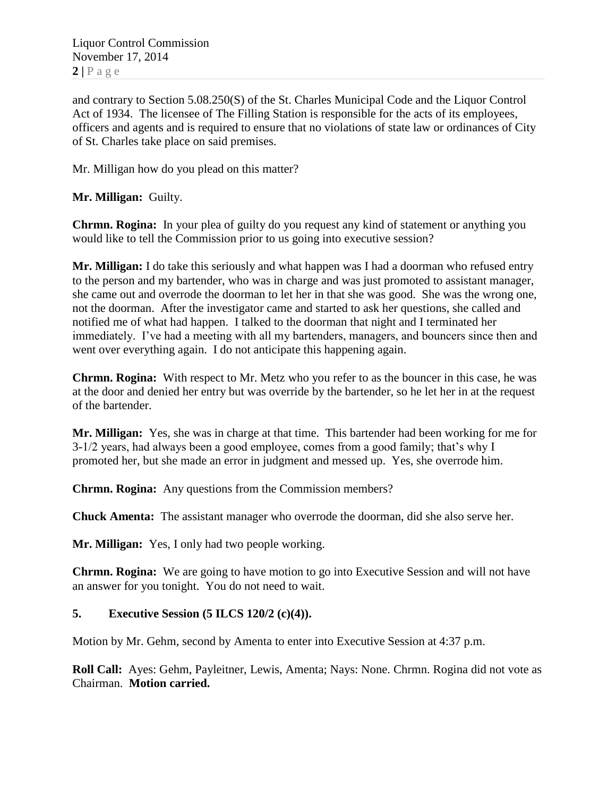Liquor Control Commission November 17, 2014  $2 | P \text{ a } g \text{ e}$ 

and contrary to Section 5.08.250(S) of the St. Charles Municipal Code and the Liquor Control Act of 1934. The licensee of The Filling Station is responsible for the acts of its employees, officers and agents and is required to ensure that no violations of state law or ordinances of City of St. Charles take place on said premises.

Mr. Milligan how do you plead on this matter?

**Mr. Milligan:** Guilty.

**Chrmn. Rogina:** In your plea of guilty do you request any kind of statement or anything you would like to tell the Commission prior to us going into executive session?

**Mr. Milligan:** I do take this seriously and what happen was I had a doorman who refused entry to the person and my bartender, who was in charge and was just promoted to assistant manager, she came out and overrode the doorman to let her in that she was good. She was the wrong one, not the doorman. After the investigator came and started to ask her questions, she called and notified me of what had happen. I talked to the doorman that night and I terminated her immediately. I've had a meeting with all my bartenders, managers, and bouncers since then and went over everything again. I do not anticipate this happening again.

**Chrmn. Rogina:** With respect to Mr. Metz who you refer to as the bouncer in this case, he was at the door and denied her entry but was override by the bartender, so he let her in at the request of the bartender.

**Mr. Milligan:** Yes, she was in charge at that time. This bartender had been working for me for 3-1/2 years, had always been a good employee, comes from a good family; that's why I promoted her, but she made an error in judgment and messed up. Yes, she overrode him.

**Chrmn. Rogina:** Any questions from the Commission members?

**Chuck Amenta:** The assistant manager who overrode the doorman, did she also serve her.

**Mr. Milligan:** Yes, I only had two people working.

**Chrmn. Rogina:** We are going to have motion to go into Executive Session and will not have an answer for you tonight. You do not need to wait.

#### **5. Executive Session (5 ILCS 120/2 (c)(4)).**

Motion by Mr. Gehm, second by Amenta to enter into Executive Session at 4:37 p.m.

**Roll Call:** Ayes: Gehm, Payleitner, Lewis, Amenta; Nays: None. Chrmn. Rogina did not vote as Chairman. **Motion carried.**